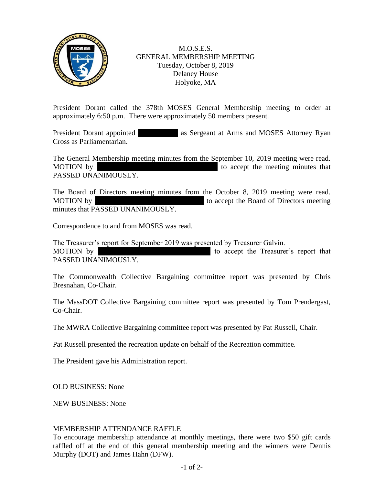

M.O.S.E.S. GENERAL MEMBERSHIP MEETING Tuesday, October 8, 2019 Delaney House Holyoke, MA

President Dorant called the 378th MOSES General Membership meeting to order at approximately 6:50 p.m. There were approximately 50 members present.

President Dorant appointed as Sergeant at Arms and MOSES Attorney Ryan Cross as Parliamentarian.

The General Membership meeting minutes from the September 10, 2019 meeting were read. MOTION by Tom Prendict accept the meeting minutes that PASSED UNANIMOUSLY.

The Board of Directors meeting minutes from the October 8, 2019 meeting were read. MOTION by Carmen Ramirez 1981 to accept the Board of Directors meeting minutes that PASSED UNANIMOUSLY.

Correspondence to and from MOSES was read.

The Treasurer's report for September 2019 was presented by Treasurer Galvin. MOTION by  $\blacksquare$  Allen Bondeson is to accept the Treasurer's report that PASSED UNANIMOUSLY.

The Commonwealth Collective Bargaining committee report was presented by Chris Bresnahan, Co-Chair.

The MassDOT Collective Bargaining committee report was presented by Tom Prendergast, Co-Chair.

The MWRA Collective Bargaining committee report was presented by Pat Russell, Chair.

Pat Russell presented the recreation update on behalf of the Recreation committee.

The President gave his Administration report.

OLD BUSINESS: None

NEW BUSINESS: None

## MEMBERSHIP ATTENDANCE RAFFLE

To encourage membership attendance at monthly meetings, there were two \$50 gift cards raffled off at the end of this general membership meeting and the winners were Dennis Murphy (DOT) and James Hahn (DFW).